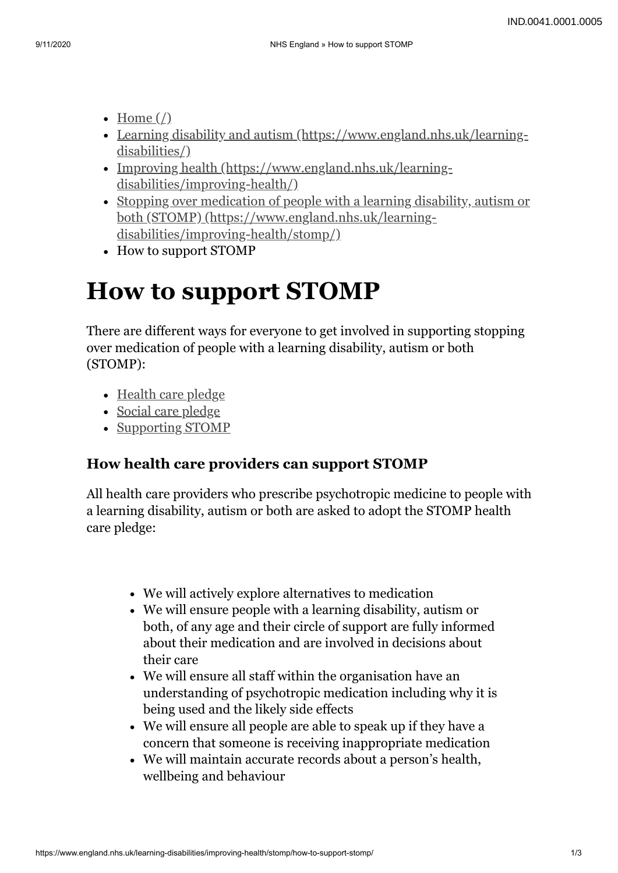- Home  $\left(\frac{\ }{\ }$
- [Learning disability and autism \(https://www.england.nhs.uk/learning](https://www.england.nhs.uk/learning-disabilities/)disabilities/)
- [Improving health \(https://www.england.nhs.uk/learning](https://www.england.nhs.uk/learning-disabilities/improving-health/)disabilities/improving-health/)
- [Stopping over medication of people with a learning disability, autism or](https://www.england.nhs.uk/learning-disabilities/improving-health/stomp/) both (STOMP) (https://www.england.nhs.uk/learningdisabilities/improving-health/stomp/)
- How to support STOMP

# **How to support STOMP**

There are different ways for everyone to get involved in supporting stopping over medication of people with a learning disability, autism or both (STOMP):

- [Health care pledge](#page-0-0)
- [Social care pledge](#page-1-0)
- [Supporting STOMP](#page-1-1)

### <span id="page-0-0"></span>**How health care providers can support STOMP**

All health care providers who prescribe psychotropic medicine to people with a learning disability, autism or both are asked to adopt the STOMP health care pledge:

- We will actively explore alternatives to medication
- We will ensure people with a learning disability, autism or both, of any age and their circle of support are fully informed about their medication and are involved in decisions about their care
- We will ensure all staff within the organisation have an understanding of psychotropic medication including why it is being used and the likely side effects
- We will ensure all people are able to speak up if they have a concern that someone is receiving inappropriate medication
- We will maintain accurate records about a person's health, wellbeing and behaviour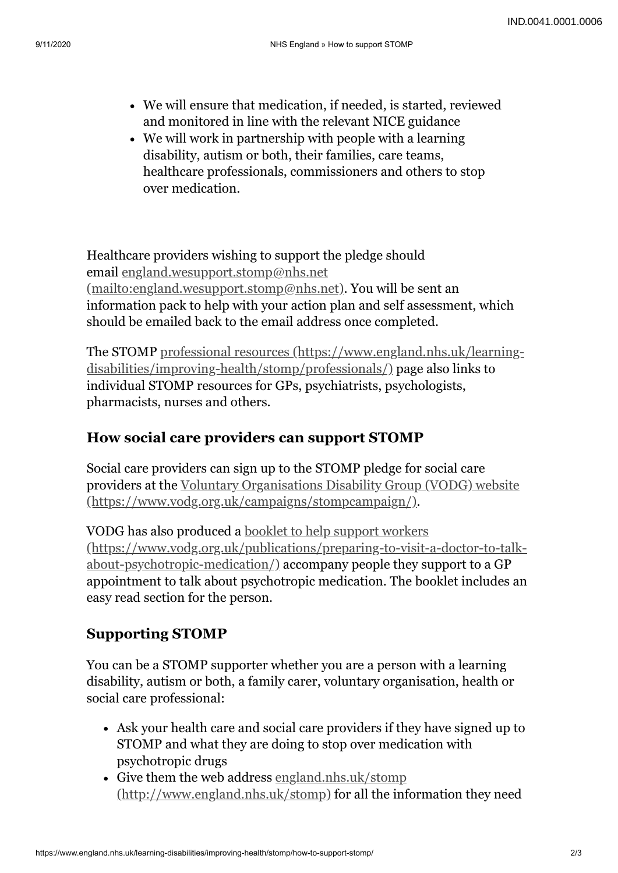- We will ensure that medication, if needed, is started, reviewed and monitored in line with the relevant NICE guidance
- We will work in partnership with people with a learning disability, autism or both, their families, care teams, healthcare professionals, commissioners and others to stop over medication.

Healthcare providers wishing to support the pledge should email england.wesupport.stomp@nhs.net [\(mailto:england.wesupport.stomp@nhs.net\)](mailto:england.wesupport.stomp@nhs.net). You will be sent an information pack to help with your action plan and self assessment, which should be emailed back to the email address once completed.

[The STOMP professional resources \(https://www.england.nhs.uk/learning](https://www.england.nhs.uk/learning-disabilities/improving-health/stomp/professionals/)disabilities/improving-health/stomp/professionals/) page also links to individual STOMP resources for GPs, psychiatrists, psychologists, pharmacists, nurses and others.

## <span id="page-1-0"></span>**How social care providers can support STOMP**

Social care providers can sign up to the STOMP pledge for social care [providers at the Voluntary Organisations Disability Group \(VODG\) website](https://www.vodg.org.uk/campaigns/stompcampaign/) (https://www.vodg.org.uk/campaigns/stompcampaign/).

VODG has also produced a booklet to help support workers [\(https://www.vodg.org.uk/publications/preparing-to-visit-a-doctor-to-talk](https://www.vodg.org.uk/publications/preparing-to-visit-a-doctor-to-talk-about-psychotropic-medication/)about-psychotropic-medication/) accompany people they support to a GP appointment to talk about psychotropic medication. The booklet includes an easy read section for the person.

### <span id="page-1-1"></span>**Supporting STOMP**

You can be a STOMP supporter whether you are a person with a learning disability, autism or both, a family carer, voluntary organisation, health or social care professional:

- Ask your health care and social care providers if they have signed up to STOMP and what they are doing to stop over medication with psychotropic drugs
- Give them the web address england.nhs.uk/stomp [\(http://www.england.nhs.uk/stomp\) for all the inf](http://www.england.nhs.uk/stomp)ormation they need